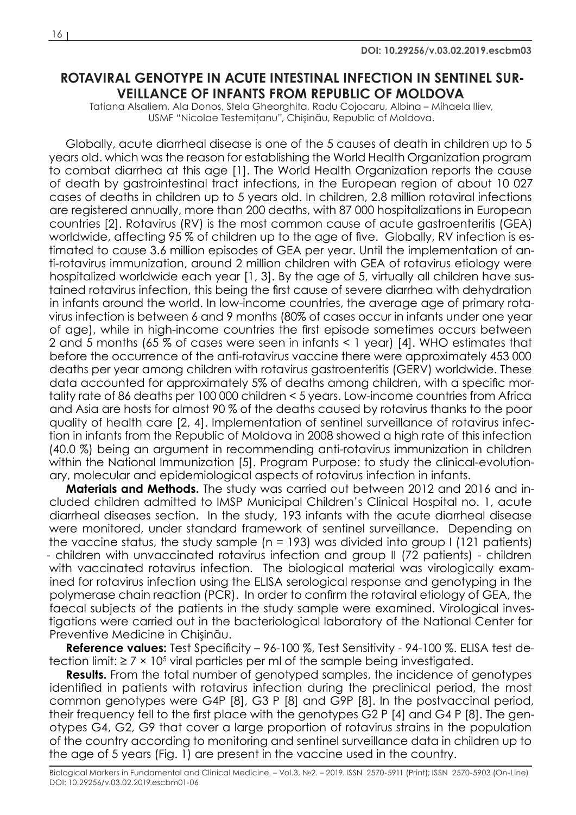## **ROTAVIRAL GENOTYPE IN ACUTE INTESTINAL INFECTION IN SENTINEL SUR-VEILLANCE OF INFANTS FROM REPUBLIC OF MOLDOVA**

Tatiana Alsaliem, Ala Donos, Stela Gheorghita, Radu Cojocaru, Albina – Mihaela Iliev, USMF "Nicolae Testemiţanu", Chişinău, Republic of Moldova.

Globally, acute diarrheal disease is one of the 5 causes of death in children up to 5 years old. which was the reason for establishing the World Health Organization program to combat diarrhea at this age [1]. The World Health Organization reports the cause of death by gastrointestinal tract infections, in the European region of about 10 027 cases of deaths in children up to 5 years old. In children, 2.8 million rotaviral infections are registered annually, more than 200 deaths, with 87 000 hospitalizations in European countries [2]. Rotavirus (RV) is the most common cause of acute gastroenteritis (GEA) worldwide, affecting 95 % of children up to the age of five. Globally, RV infection is estimated to cause 3.6 million episodes of GEA per year. Until the implementation of anti-rotavirus immunization, around 2 million children with GEA of rotavirus etiology were hospitalized worldwide each year [1, 3]. By the age of 5, virtually all children have sustained rotavirus infection, this being the first cause of severe diarrhea with dehydration in infants around the world. In low-income countries, the average age of primary rotavirus infection is between 6 and 9 months (80% of cases occur in infants under one year of age), while in high-income countries the first episode sometimes occurs between 2 and 5 months (65 % of cases were seen in infants < 1 year) [4]. WHO estimates that before the occurrence of the anti-rotavirus vaccine there were approximately 453 000 deaths per year among children with rotavirus gastroenteritis (GERV) worldwide. These data accounted for approximately 5% of deaths among children, with a specific mortality rate of 86 deaths per 100 000 children < 5 years. Low-income countries from Africa and Asia are hosts for almost 90 % of the deaths caused by rotavirus thanks to the poor quality of health care [2, 4]. Implementation of sentinel surveillance of rotavirus infection in infants from the Republic of Moldova in 2008 showed a high rate of this infection (40.0 %) being an argument in recommending anti-rotavirus immunization in children within the National Immunization [5]. Program Purpose: to study the clinical-evolutionary, molecular and epidemiological aspects of rotavirus infection in infants.

**Materials and Methods.** The study was carried out between 2012 and 2016 and included children admitted to IMSP Municipal Children's Clinical Hospital no. 1, acute diarrheal diseases section. In the study, 193 infants with the acute diarrheal disease were monitored, under standard framework of sentinel surveillance. Depending on the vaccine status, the study sample  $(n = 193)$  was divided into group I (121 patients) - children with unvaccinated rotavirus infection and group II (72 patients) - children with vaccinated rotavirus infection. The biological material was virologically examined for rotavirus infection using the ELISA serological response and genotyping in the polymerase chain reaction (PCR). In order to confirm the rotaviral etiology of GEA, the faecal subjects of the patients in the study sample were examined. Virological investigations were carried out in the bacteriological laboratory of the National Center for Preventive Medicine in Chişinău.

**Reference values:** Test Specificity – 96-100 %, Test Sensitivity - 94-100 %. ELISA test detection limit:  $\geq 7 \times 10^5$  viral particles per ml of the sample being investigated.

**Results.** From the total number of genotyped samples, the incidence of genotypes identified in patients with rotavirus infection during the preclinical period, the most common genotypes were G4P [8], G3 P [8] and G9P [8]. In the postvaccinal period, their frequency fell to the first place with the genotypes G2 P [4] and G4 P [8]. The genotypes G4, G2, G9 that cover a large proportion of rotavirus strains in the population of the country according to monitoring and sentinel surveillance data in children up to the age of 5 years (Fig. 1) are present in the vaccine used in the country.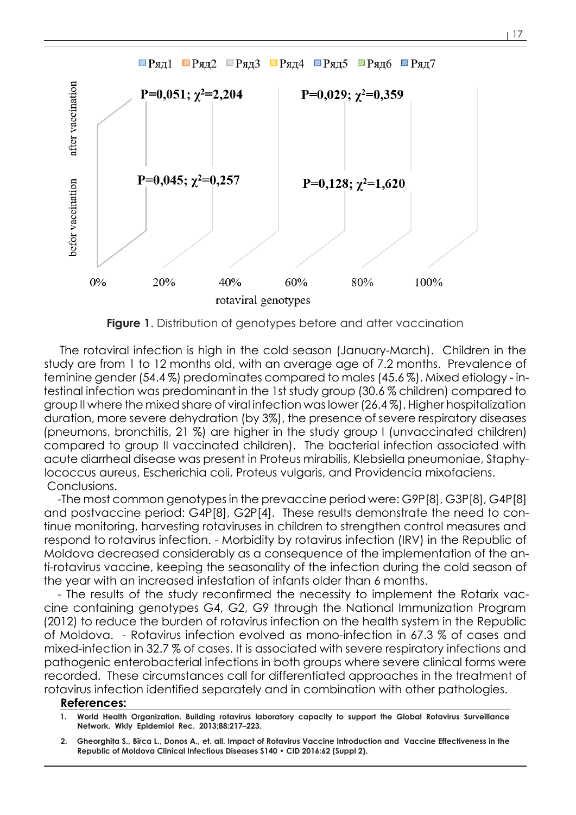

**Figure 1**. Distribution of genotypes before and after vaccination

The rotaviral infection is high in the cold season (January-March). Children in the study are from 1 to 12 months old, with an average age of 7.2 months. Prevalence of feminine gender (54.4 %) predominates compared to males (45.6 %). Mixed etiology - intestinal infection was predominant in the 1st study group (30.6 % children) compared to group II where the mixed share of viral infection was lower (26.4 %). Higher hospitalization duration, more severe dehydration (by 3%), the presence of severe respiratory diseases (pneumons, bronchitis, 21 %) are higher in the study group I (unvaccinated children) compared to group II vaccinated children). The bacterial infection associated with acute diarrheal disease was present in Proteus mirabilis, Klebsiella pneumoniae, Staphylococcus aureus, Escherichia coli, Proteus vulgaris, and Providencia mixofaciens. Conclusions.

-The most common genotypes in the prevaccine period were: G9P[8], G3P[8], G4P[8] and postvaccine period: G4P[8], G2P[4]. These results demonstrate the need to continue monitoring, harvesting rotaviruses in children to strengthen control measures and respond to rotavirus infection. - Morbidity by rotavirus infection (IRV) in the Republic of Moldova decreased considerably as a consequence of the implementation of the anti-rotavirus vaccine, keeping the seasonality of the infection during the cold season of the year with an increased infestation of infants older than 6 months.

- The results of the study reconfirmed the necessity to implement the Rotarix vaccine containing genotypes G4, G2, G9 through the National Immunization Program (2012) to reduce the burden of rotavirus infection on the health system in the Republic of Moldova. - Rotavirus infection evolved as mono-infection in 67.3 % of cases and mixed-infection in 32.7 % of cases. It is associated with severe respiratory infections and pathogenic enterobacterial infections in both groups where severe clinical forms were recorded. These circumstances call for differentiated approaches in the treatment of rotavirus infection identified separately and in combination with other pathologies.

## **References:**

- **1. World Health Organization. Building rotavirus laboratory capacity to support the Global Rotavirus Surveillance Network. Wkly Epidemiol Rec. 2013;88:217–223.**
- **2. Gheorghiţa S., Bîrca L., Donos A., et. all. Impact of Rotavirus Vaccine Introduction and Vaccine Effectiveness in the Republic of Moldova Clinical Infectious Diseases S140 • CID 2016:62 (Suppl 2).**